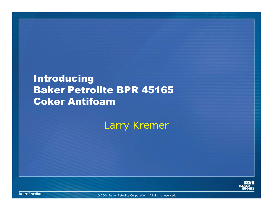### **Introducing** Baker Petrolite BPR 45165 Coker Antifoam

Larry Kremer



**Baker Petrolite**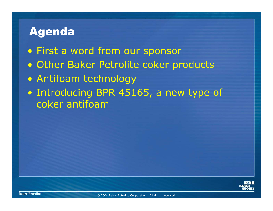## Agenda

- First a word from our sponsor
- Other Baker Petrolite coker products
- Antifoam technology
- Introducing BPR 45165, a new type of coker antifoam

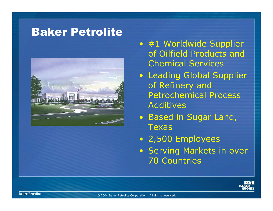#### Baker Petrolite



- #1 Worldwide Supplier of Oilfield Products and Chemical Services
- Leading Global Supplier of Refinery and Petrochemical Process Additives
- Based in Sugar Land, **Texas**
- 2,500 Employees
- Serving Markets in over 70 Countries

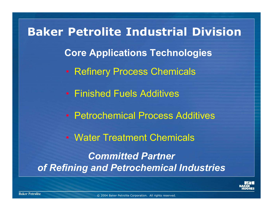**Core Applications Technologies** • Refinery Process Chemicals • Finished Fuels Additives • Petrochemical Process Additives• Water Treatment Chemicals*Committed Partner of Refining and Petrochemical Industries* **Baker Petrolite Industrial Division**

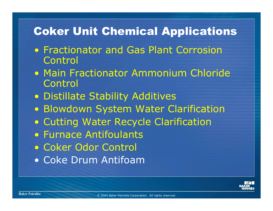# Coker Unit Chemical Applications

- Fractionator and Gas Plant Corrosion Control
- Main Fractionator Ammonium Chloride Control
- Distillate Stability Additives
- Blowdown System Water Clarification
- Cutting Water Recycle Clarification
- Furnace Antifoulants
- Coker Odor Control
- Coke Drum Antifoam

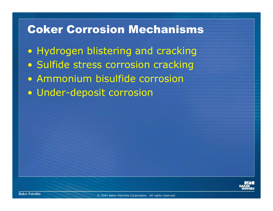#### Coker Corrosion Mechanisms

• Hydrogen blistering and cracking • Sulfide stress corrosion cracking • Ammonium bisulfide corrosion• Under-deposit corrosion

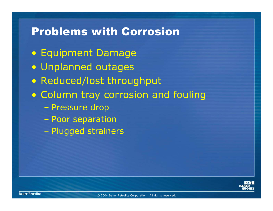## Problems with Corrosion

- Equipment Damage
- Unplanned outages
- Reduced/lost throughput
- Column tray corrosion and fouling
	- –Pressure drop
	- –Poor separation
	- –Plugged strainers

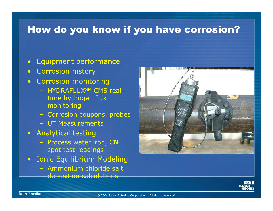#### How do you know if you have corrosion?

- •Equipment performance
- $\bullet$ Corrosion history
- Corrosion monitoring
	- HYDRAFLUX<sup>sm</sup> CMS real time hydrogen flux monitoring
	- Corrosion coupons, probes
	- UT Measurements
- Analytical testing
	- Process water iron, CN spot test readings
- Ionic Equilibrium Modeling
	- Ammonium chloride salt deposition calculations



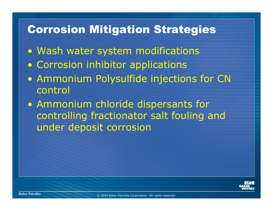## Corrosion Mitigation Strategies

- Wash water system modifications
- Corrosion inhibitor applications
- Ammonium Polysulfide injections for CN control
- Ammonium chloride dispersants for controlling fractionator salt fouling and under deposit corrosion

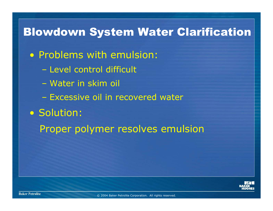## Blowdown System Water Clarification

- Problems with emulsion:
	- Level control difficult
	- Water in skim oil
	- Excessive oil in recovered water
- Solution:
	- Proper polymer resolves emulsion

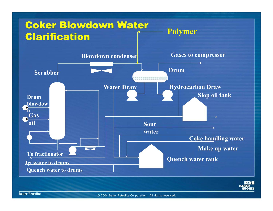

**Baker Petrolite**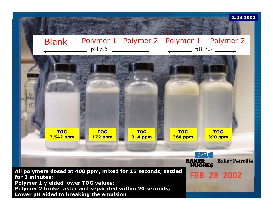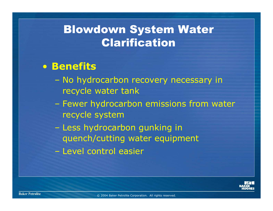## Blowdown System Water Clarification

#### • **Benefits**

- – No hydrocarbon recovery necessary in recycle water tank
- – Fewer hydrocarbon emissions from water recycle system
- – Less hydrocarbon gunking in quench/cutting water equipment
- Level control easier

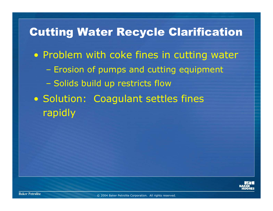# Cutting Water Recycle Clarification • Problem with coke fines in cutting water  $\mathcal{L}_{\mathcal{A}}$  Erosion of pumps and cutting equipment Solids build up restricts flow • Solution: Coagulant settles fines rapidly

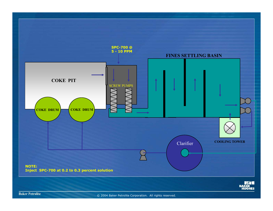

**Baker Petrolite**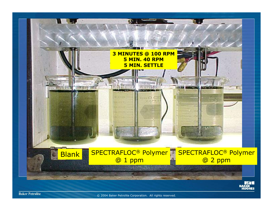

**Baker Petrolite**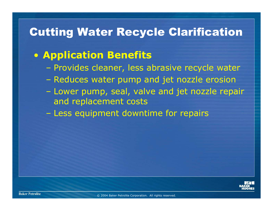## Cutting Water Recycle Clarification

#### • **Application Benefits**

- Provides cleaner, less abrasive recycle water
- Reduces water pump and jet nozzle erosion
- Lower pump, seal, valve and jet nozzle repair and replacement costs
- $\mathcal{L}_{\mathcal{A}}$ Less equipment downtime for repairs

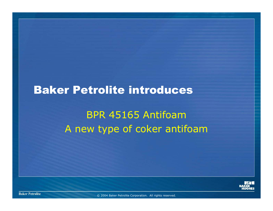## Baker Petrolite introduces

# BPR 45165 AntifoamA new type of coker antifoam



**Baker Petrolite**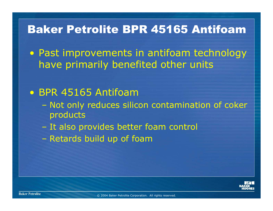## Baker Petrolite BPR 45165 Antifoam

• Past improvements in antifoam technology have primarily benefited other units

#### • BPR 45165 Antifoam

- $\mathcal{L}_{\mathcal{A}}$  Not only reduces silicon contamination of coker products
- It also provides better foam control
- Retards build up of foam

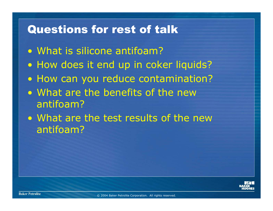## Questions for rest of talk

- What is silicone antifoam?
- How does it end up in coker liquids?
- How can you reduce contamination?
- What are the benefits of the new antifoam?
- What are the test results of the new antifoam?

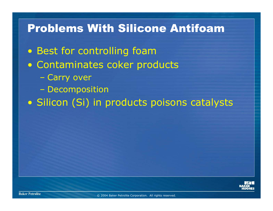#### Problems With Silicone Antifoam

- Best for controlling foam
- Contaminates coker products
	- Carry over
	- **Decomposition**
- Silicon (Si) in products poisons catalysts

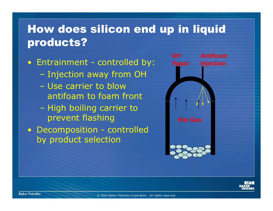## How does silicon end up in liquid products?

• Entrainment - controlled by:

- –Injection away from OH
- Use carrier to blow antifoam to foam front
- High boiling carrier to prevent flashing
- Decomposition controlled by product selection



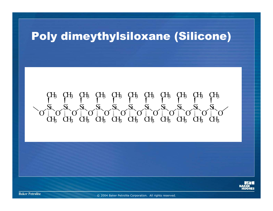### Poly dimeythylsiloxane (Silicone)

OSi O CH3 CH3 CH3 CH3 CH3 CH3 CH3 CH3 CH3 CH3 CH3Si OSi OSi OSi OSi OSi OSi OSi OSi OSi OCH3 CH3 CH3 CH3 CH3 CH3 CH3 CH3 CH3 CH3 CH3



**Baker Petrolite**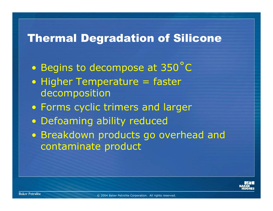### Thermal Degradation of Silicone

 $\bigcirc$ Begins to decompose at 350˚C

- Higher Temperature = faster decomposition
- Forms cyclic trimers and larger
- Defoaming ability reduced
- Breakdown products go overhead and contaminate product

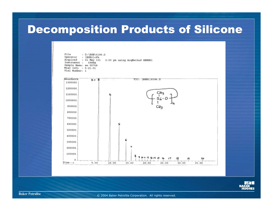## Decomposition Products of Silicone

Film 4 D: \BSB\6156.p Operator. : [BSB1]cfh Acquired : 21 May 101 2:02 pm using AcqMethod GENER1 Instrument - 5968A Sample Mase: en 55758 Misc Info : 5-21-01 Vial Number: 1



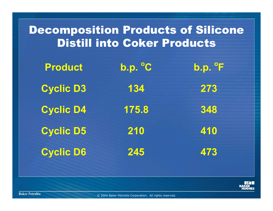# Decomposition Products of Silicone Distill into Coker Products

| <b>Product</b>   | b.p. °C | $b.p.$ $\degree$ F |
|------------------|---------|--------------------|
| <b>Cyclic D3</b> | 134     | 273                |
| <b>Cyclic D4</b> | 175.8   | 348                |
| <b>Cyclic D5</b> | 210     | 410                |
| <b>Cyclic D6</b> | 245     | 473                |

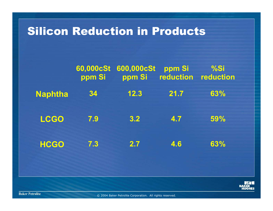#### Silicon Reduction in Products

|                | 60,000cSt<br>ppm Si | 600,000cSt<br>ppm Si | ppm Si<br>reduction reduction | %Si |
|----------------|---------------------|----------------------|-------------------------------|-----|
| <b>Naphtha</b> | 34                  | 12.3                 | 21.7                          | 63% |
| <b>LCGO</b>    | 7.9                 | 3.2                  | 4.7                           | 59% |
| <b>HCGO</b>    | 7.3                 | 2.7                  | 4.6                           | 63% |

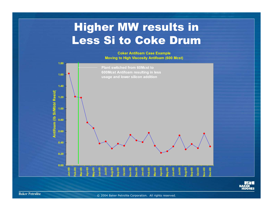# Higher MW results in Less Si to Coke Drum

**Coker Antifoam Case Example Moving to High Viscosity Antifoam (600 Mcst)**





**Baker Petrolite**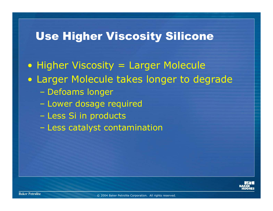## Use Higher Viscosity Silicone

• Higher Viscosity = Larger Molecule • Larger Molecule takes longer to degrade Defoams longer Lower dosage required Less Si in products Less catalyst contamination

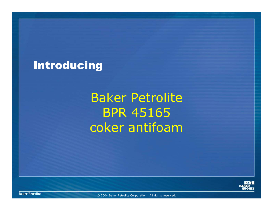## Introducing

Baker Petrolite BPR 45165 coker antifoam



**Baker Petrolite**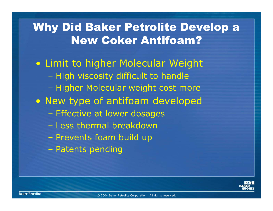## Why Did Baker Petrolite Develop a New Coker Antifoam?

• Limit to higher Molecular Weight High viscosity difficult to handle Higher Molecular weight cost more • New type of antifoam developed Effective at lower dosages – Less thermal breakdown Prevents foam build up Patents pending

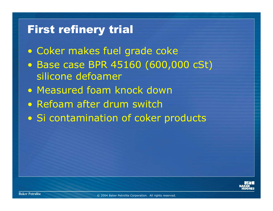## First refinery trial

- Coker makes fuel grade coke
- Base case BPR 45160 (600,000 cSt) silicone defoamer
- Measured foam knock down
- Refoam after drum switch
- Si contamination of coker products

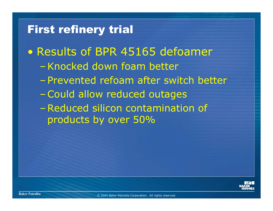#### First refinery trial

- Results of BPR 45165 defoamer
	- –Knocked down foam better
	- –Prevented refoam after switch better
	- Could allow reduced outages
	- – Reduced silicon contamination of products by over 50%

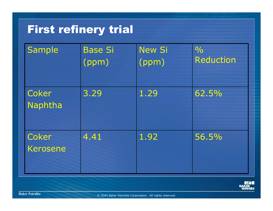# First refinery trial

| Sample            | <b>Base Si</b><br>(ppm) | <b>New Si</b><br>(ppm) | $\frac{0}{0}$<br><b>Reduction</b> |
|-------------------|-------------------------|------------------------|-----------------------------------|
| Coker<br>Naphtha  | 3.29                    | 1.29                   | 62.5%                             |
| Coker<br>Kerosene | 4.41                    | 1.92                   | 56.5%                             |

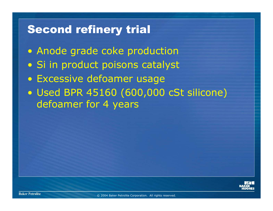## Second refinery trial

- Anode grade coke production
- Si in product poisons catalyst
- Excessive defoamer usage
- Used BPR 45160 (600,000 cSt silicone) defoamer for 4 years

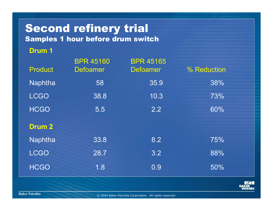# Second refinery trial

Samples 1 hour before drum switch

#### **Drum 1**

| <b>Product</b> | <b>BPR 45160</b><br><b>Defoamer</b> | <b>BPR 45165</b><br><b>Defoamer</b> | % Reduction |
|----------------|-------------------------------------|-------------------------------------|-------------|
| Naphtha        | 58                                  | 35.9                                | 38%         |
| <b>LCGO</b>    | 38.8                                | 10.3                                | 73%         |
| <b>HCGO</b>    | 5.5                                 | 2.2                                 | 60%         |
| <b>Drum 2</b>  |                                     |                                     |             |
| <b>Naphtha</b> | 33.8                                | 8.2                                 | 75%         |
| <b>LCGO</b>    | 28.7                                | 3.2                                 | 88%         |
| <b>HCGO</b>    | 1.8                                 | 0.9                                 | 50%         |

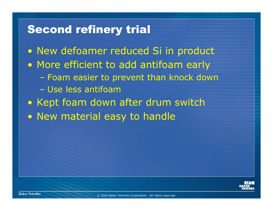### Second refinery trial

- New defoamer reduced Si in product
- More efficient to add antifoam early
	- Foam easier to prevent than knock down
	- Use less antifoam
- Kept foam down after drum switch
- New material easy to handle